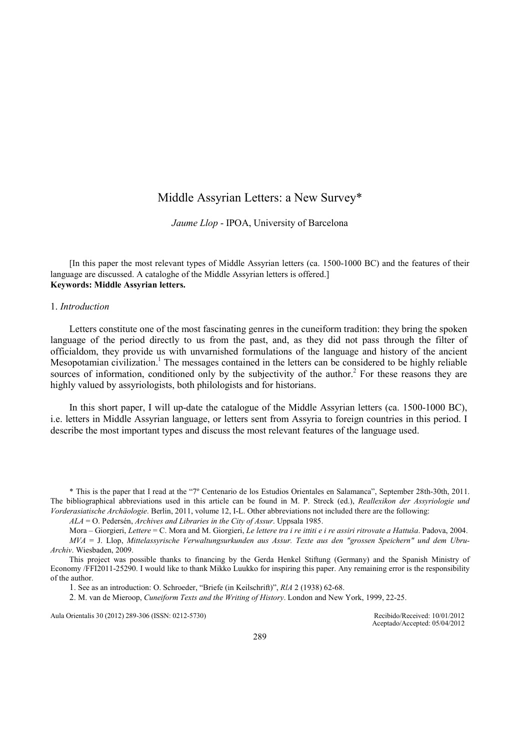# Middle Assyrian Letters: a New Survey\*

Jaume Llop - IPOA, University of Barcelona

[In this paper the most relevant types of Middle Assyrian letters (ca. 1500-1000 BC) and the features of their language are discussed. A cataloghe of the Middle Assyrian letters is offered.] Keywords: Middle Assyrian letters.

### 1. Introduction

Letters constitute one of the most fascinating genres in the cuneiform tradition: they bring the spoken language of the period directly to us from the past, and, as they did not pass through the filter of officialdom, they provide us with unvarnished formulations of the language and history of the ancient Mesopotamian civilization.<sup>1</sup> The messages contained in the letters can be considered to be highly reliable sources of information, conditioned only by the subjectivity of the author.<sup>2</sup> For these reasons they are highly valued by assyriologists, both philologists and for historians.

In this short paper, I will up-date the catalogue of the Middle Assyrian letters (ca. 1500-1000 BC), i.e. letters in Middle Assyrian language, or letters sent from Assyria to foreign countries in this period. I describe the most important types and discuss the most relevant features of the language used.

\* This is the paper that I read at the "7º Centenario de los Estudios Orientales en Salamanca", September 28th-30th, 2011. The bibliographical abbreviations used in this article can be found in M. P. Streck (ed.), Reallexikon der Assyriologie und Vorderasiatische Archäologie. Berlin, 2011, volume 12, I-L. Other abbreviations not included there are the following:

 $ALA = O$ . Pedersén, Archives and Libraries in the City of Assur. Uppsala 1985.

Mora – Giorgieri, Lettere = C. Mora and M. Giorgieri, Le lettere tra i re ittiti e i re assiri ritrovate a Hattuša. Padova, 2004. MVA = J. Llop, Mittelassyrische Verwaltungsurkunden aus Assur. Texte aus den "grossen Speichern" und dem Ubru-Archiv. Wiesbaden, 2009.

This project was possible thanks to financing by the Gerda Henkel Stiftung (Germany) and the Spanish Ministry of Economy /FFI2011-25290. I would like to thank Mikko Luukko for inspiring this paper. Any remaining error is the responsibility of the author.

1. See as an introduction: O. Schroeder, "Briefe (in Keilschrift)", RlA 2 (1938) 62-68.

2. M. van de Mieroop, Cuneiform Texts and the Writing of History. London and New York, 1999, 22-25.

Aula Orientalis 30 (2012) 289-306 (ISSN: 0212-5730) Recibido/Received: 10/01/2012

Aceptado/Accepted: 05/04/2012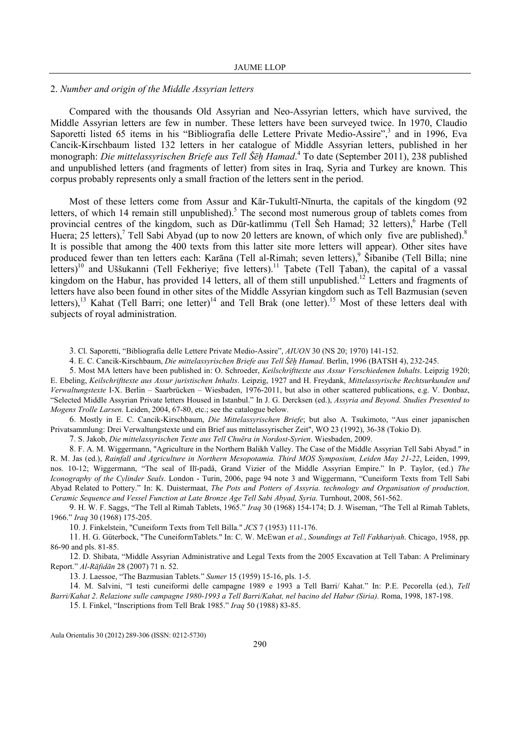### 2. Number and origin of the Middle Assyrian letters

Compared with the thousands Old Assyrian and Neo-Assyrian letters, which have survived, the Middle Assyrian letters are few in number. These letters have been surveyed twice. In 1970, Claudio Saporetti listed 65 items in his "Bibliografia delle Lettere Private Medio-Assire",<sup>3</sup> and in 1996, Eva Cancik-Kirschbaum listed 132 letters in her catalogue of Middle Assyrian letters, published in her monograph: *Die mittelassyrischen Briefe aus Tell Šēḫ Hamad*.<sup>4</sup> To date (September 2011), 238 published and unpublished letters (and fragments of letter) from sites in Iraq, Syria and Turkey are known. This corpus probably represents only a small fraction of the letters sent in the period.

Most of these letters come from Assur and Kār-Tukultī-Nīnurta, the capitals of the kingdom (92 letters, of which 14 remain still unpublished).<sup>5</sup> The second most numerous group of tablets comes from provincial centres of the kingdom, such as Dūr-katlimmu (Tell Šeh Hamad; 32 letters), Harbe (Tell Huera; 25 letters),<sup>7</sup> Tell Sabi Abyad (up to now 20 letters are known, of which only five are published).<sup>8</sup> It is possible that among the 400 texts from this latter site more letters will appear). Other sites have produced fewer than ten letters each: Karāna (Tell al-Rimah; seven letters),<sup>9</sup> Šībanibe (Tell Billa; nine letters)<sup>10</sup> and Uššukanni (Tell Fekheriye; five letters).<sup>11</sup> Tabete (Tell Taban), the capital of a vassal kingdom on the Habur, has provided 14 letters, all of them still unpublished.<sup>12</sup> Letters and fragments of letters have also been found in other sites of the Middle Assyrian kingdom such as Tell Bazmusian (seven letters),<sup>13</sup> Kahat (Tell Barri; one letter)<sup>14</sup> and Tell Brak (one letter).<sup>15</sup> Most of these letters deal with subjects of royal administration.

3. Cl. Saporetti, "Bibliografia delle Lettere Private Medio-Assire", AIUON 30 (NS 20; 1970) 141-152.

4. E. C. Cancik-Kirschbaum, Die mittelassyrischen Briefe aus Tell Šēḫ Hamad. Berlin, 1996 (BATSH 4), 232-245.

5. Most MA letters have been published in: O. Schroeder, Keilschrifttexte aus Assur Verschiedenen Inhalts. Leipzig 1920; E. Ebeling, Keilschrifttexte aus Assur juristischen Inhalts. Leipzig, 1927 and H. Freydank, Mittelassyrische Rechtsurkunden und Verwaltungstexte I-X. Berlin – Saarbrücken – Wiesbaden, 1976-2011, but also in other scattered publications, e.g. V. Donbaz, "Selected Middle Assyrian Private letters Housed in Istanbul." In J. G. Dercksen (ed.), Assyria and Beyond. Studies Presented to Mogens Trolle Larsen. Leiden, 2004, 67-80, etc.; see the catalogue below.

6. Mostly in E. C. Cancik-Kirschbaum, Die Mittelassyrischen Briefe; but also A. Tsukimoto, "Aus einer japanischen Privatsammlung: Drei Verwaltungstexte und ein Brief aus mittelassyrischer Zeit", WO 23 (1992), 36-38 (Tokio D).

7. S. Jakob, Die mittelassyrischen Texte aus Tell Chuēra in Nordost-Syrien. Wiesbaden, 2009.

8. F. A. M. Wiggermann, "Agriculture in the Northern Balikh Valley. The Case of the Middle Assyrian Tell Sabi Abyad." in R. M. Jas (ed.), Rainfall and Agriculture in Northern Mesopotamia. Third MOS Symposium, Leiden May 21-22, Leiden, 1999, nos. 10-12; Wiggermann, "The seal of Ilī-padâ, Grand Vizier of the Middle Assyrian Empire." In P. Taylor, (ed.) The Iconography of the Cylinder Seals. London - Turin, 2006, page 94 note 3 and Wiggermann, "Cuneiform Texts from Tell Sabi Abyad Related to Pottery." In: K. Duistermaat, The Pots and Potters of Assyria. technology and Organisation of production, Ceramic Sequence and Vessel Function at Late Bronze Age Tell Sabi Abyad, Syria. Turnhout, 2008, 561-562.

9. H. W. F. Saggs, "The Tell al Rimah Tablets, 1965." Iraq 30 (1968) 154-174; D. J. Wiseman, "The Tell al Rimah Tablets, 1966." Iraq 30 (1968) 175-205.

10. J. Finkelstein, "Cuneiform Texts from Tell Billa." JCS 7 (1953) 111-176.

11. H. G. Güterbock, "The CuneiformTablets." In: C. W. McEwan et al., Soundings at Tell Fakhariyah. Chicago, 1958, pp. 86-90 and pls. 81-85.

12. D. Shibata, "Middle Assyrian Administrative and Legal Texts from the 2005 Excavation at Tell Taban: A Preliminary Report." Al-Rāfidān 28 (2007) 71 n. 52.

13. J. Laessoe, "The Bazmusian Tablets." Sumer 15 (1959) 15-16, pls. 1-5.

14. M. Salvini, "I testi cuneiformi delle campagne 1989 e 1993 a Tell Barri/ Kahat." In: P.E. Pecorella (ed.), Tell Barri/Kahat 2. Relazione sulle campagne 1980-1993 a Tell Barri/Kahat, nel bacino del Habur (Siria). Roma, 1998, 187-198.

15. I. Finkel, "Inscriptions from Tell Brak 1985." Iraq 50 (1988) 83-85.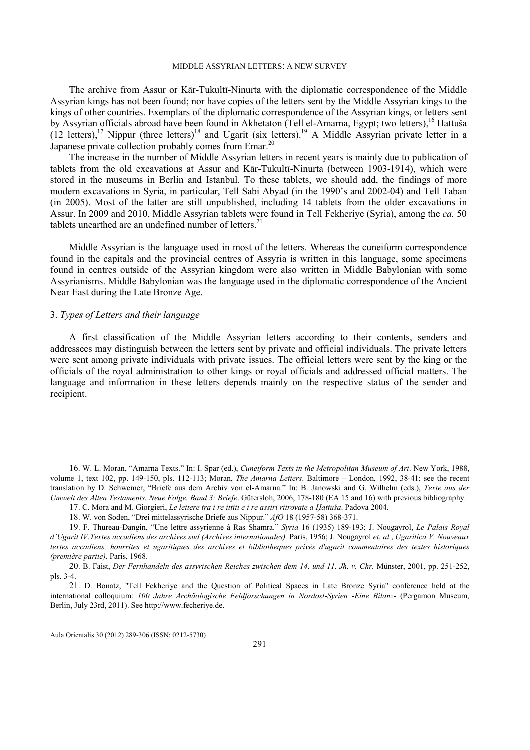The archive from Assur or Kār-Tukultī-Ninurta with the diplomatic correspondence of the Middle Assyrian kings has not been found; nor have copies of the letters sent by the Middle Assyrian kings to the kings of other countries. Exemplars of the diplomatic correspondence of the Assyrian kings, or letters sent by Assyrian officials abroad have been found in Akhetaton (Tell el-Amarna, Egypt; two letters),<sup>16</sup> Hattuša (12 letters),<sup>17</sup> Nippur (three letters)<sup>18</sup> and Ugarit (six letters).<sup>19</sup> A Middle Assyrian private letter in a Japanese private collection probably comes from Emar.<sup>20</sup>

The increase in the number of Middle Assyrian letters in recent years is mainly due to publication of tablets from the old excavations at Assur and Kār-Tukultī-Ninurta (between 1903-1914), which were stored in the museums in Berlin and Istanbul. To these tablets, we should add, the findings of more modern excavations in Syria, in particular, Tell Sabi Abyad (in the 1990's and 2002-04) and Tell Taban (in 2005). Most of the latter are still unpublished, including 14 tablets from the older excavations in Assur. In 2009 and 2010, Middle Assyrian tablets were found in Tell Fekheriye (Syria), among the ca. 50 tablets unearthed are an undefined number of letters.<sup>21</sup>

Middle Assyrian is the language used in most of the letters. Whereas the cuneiform correspondence found in the capitals and the provincial centres of Assyria is written in this language, some specimens found in centres outside of the Assyrian kingdom were also written in Middle Babylonian with some Assyrianisms. Middle Babylonian was the language used in the diplomatic correspondence of the Ancient Near East during the Late Bronze Age.

### 3. Types of Letters and their language

A first classification of the Middle Assyrian letters according to their contents, senders and addressees may distinguish between the letters sent by private and official individuals. The private letters were sent among private individuals with private issues. The official letters were sent by the king or the officials of the royal administration to other kings or royal officials and addressed official matters. The language and information in these letters depends mainly on the respective status of the sender and recipient.

16. W. L. Moran, "Amarna Texts." In: I. Spar (ed.), Cuneiform Texts in the Metropolitan Museum of Art. New York, 1988, volume 1, text 102, pp. 149-150, pls. 112-113; Moran, The Amarna Letters. Baltimore – London, 1992, 38-41; see the recent translation by D. Schwemer, "Briefe aus dem Archiv von el-Amarna." In: B. Janowski and G. Wilhelm (eds.), Texte aus der Umwelt des Alten Testaments. Neue Folge. Band 3: Briefe. Gütersloh, 2006, 178-180 (EA 15 and 16) with previous bibliography. 17. C. Mora and M. Giorgieri, Le lettere tra i re ittiti e i re assiri ritrovate a Ḫattuša. Padova 2004.

18. W. von Soden, "Drei mittelassyrische Briefe aus Nippur." AfO 18 (1957-58) 368-371.

19. F. Thureau-Dangin, "Une lettre assyrienne à Ras Shamra." Syria 16 (1935) 189-193; J. Nougayrol, Le Palais Royal d'Ugarit IV.Textes accadiens des archives sud (Archives internationales). Paris, 1956; J. Nougayrol et. al., Ugaritica V. Nouveaux textes accadiens, hourrites et ugaritiques des archives et bibliotheques privés d'ugarit commentaires des textes historiques (première partie). Paris, 1968.

20. B. Faist, Der Fernhandeln des assyrischen Reiches zwischen dem 14. und 11. Jh. v. Chr. Münster, 2001, pp. 251-252, pls. 3-4.

21. D. Bonatz, "Tell Fekheriye and the Question of Political Spaces in Late Bronze Syria" conference held at the international colloquium: 100 Jahre Archäologische Feldforschungen in Nordost-Syrien -Eine Bilanz- (Pergamon Museum, Berlin, July 23rd, 2011). See http://www.fecheriye.de.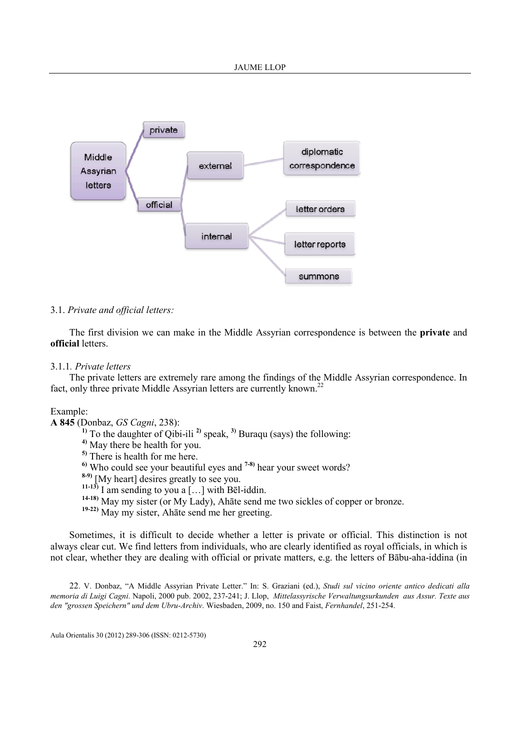

### 3.1. Private and official letters:

The first division we can make in the Middle Assyrian correspondence is between the private and official letters.

### 3.1.1. Private letters

The private letters are extremely rare among the findings of the Middle Assyrian correspondence. In fact, only three private Middle Assyrian letters are currently known.<sup>22</sup>

### Example:

A 845 (Donbaz, GS Cagni, 238):

<sup>1)</sup> To the daughter of Qibi-ili<sup>2</sup> speak, <sup>3)</sup> Buraqu (says) the following:

4) May there be health for you.

5) There is health for me here.

 $6$ <sup>0</sup> Who could see your beautiful eyes and  $7-8$ <sup>3</sup> hear your sweet words?

 $8-9$ ) [My heart] desires greatly to see you.

11-13) I am sending to you a  $[...]$  with Bel-iddin.

14-18) May my sister (or My Lady), Ahāte send me two sickles of copper or bronze.

19-22) May my sister, Ahāte send me her greeting.

Sometimes, it is difficult to decide whether a letter is private or official. This distinction is not always clear cut. We find letters from individuals, who are clearly identified as royal officials, in which is not clear, whether they are dealing with official or private matters, e.g. the letters of Bābu-aha-iddina (in

22. V. Donbaz, "A Middle Assyrian Private Letter." In: S. Graziani (ed.), Studi sul vicino oriente antico dedicati alla memoria di Luigi Cagni. Napoli, 2000 pub. 2002, 237-241; J. Llop, Mittelassyrische Verwaltungsurkunden aus Assur. Texte aus den "grossen Speichern" und dem Ubru-Archiv. Wiesbaden, 2009, no. 150 and Faist, Fernhandel, 251-254.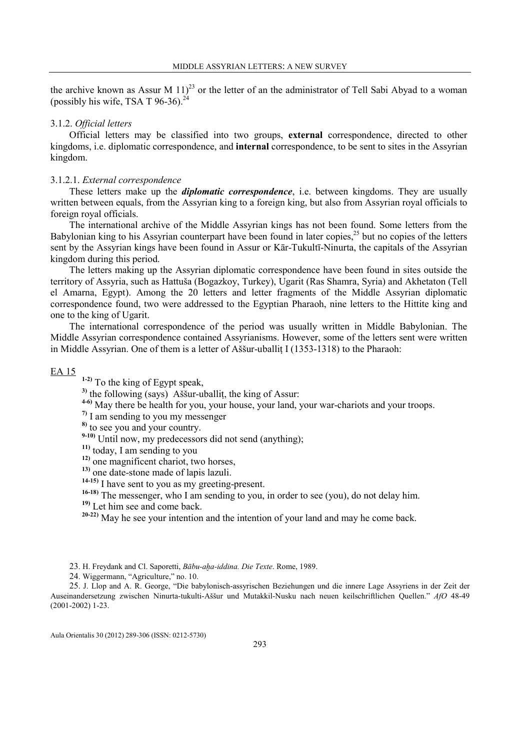the archive known as Assur M  $11$ <sup>23</sup> or the letter of an the administrator of Tell Sabi Abyad to a woman (possibly his wife, TSA T 96-36). $^{24}$ 

## 3.1.2. Official letters

Official letters may be classified into two groups, external correspondence, directed to other kingdoms, i.e. diplomatic correspondence, and **internal** correspondence, to be sent to sites in the Assyrian kingdom.

### 3.1.2.1. External correspondence

These letters make up the *diplomatic correspondence*, i.e. between kingdoms. They are usually written between equals, from the Assyrian king to a foreign king, but also from Assyrian royal officials to foreign royal officials.

The international archive of the Middle Assyrian kings has not been found. Some letters from the Babylonian king to his Assyrian counterpart have been found in later copies,<sup>25</sup> but no copies of the letters sent by the Assyrian kings have been found in Assur or Kār-Tukultī-Ninurta, the capitals of the Assyrian kingdom during this period.

The letters making up the Assyrian diplomatic correspondence have been found in sites outside the territory of Assyria, such as Hattuša (Bogazkoy, Turkey), Ugarit (Ras Shamra, Syria) and Akhetaton (Tell el Amarna, Egypt). Among the 20 letters and letter fragments of the Middle Assyrian diplomatic correspondence found, two were addressed to the Egyptian Pharaoh, nine letters to the Hittite king and one to the king of Ugarit.

The international correspondence of the period was usually written in Middle Babylonian. The Middle Assyrian correspondence contained Assyrianisms. However, some of the letters sent were written in Middle Assyrian. One of them is a letter of Assur-uballit I (1353-1318) to the Pharaoh:

# EA 15

1-2) To the king of Egypt speak,

<sup>3)</sup> the following (says) Assur-uballit, the king of Assur:

4-6) May there be health for you, your house, your land, your war-chariots and your troops.

7) I am sending to you my messenger

8) to see you and your country.

 $9-10$ ) Until now, my predecessors did not send (anything);

<sup>11)</sup> today, I am sending to you

12) one magnificent chariot, two horses,

13) one date-stone made of lapis lazuli.

14-15) I have sent to you as my greeting-present.

<sup>16-18)</sup> The messenger, who I am sending to you, in order to see (you), do not delay him.

19) Let him see and come back.

20-22) May he see your intention and the intention of your land and may he come back.

24. Wiggermann, "Agriculture," no. 10.

25. J. Llop and A. R. George, "Die babylonisch-assyrischen Beziehungen und die innere Lage Assyriens in der Zeit der Auseinandersetzung zwischen Ninurta-tukulti-Aššur und Mutakkil-Nusku nach neuen keilschriftlichen Quellen." AfO 48-49 (2001-2002) 1-23.

<sup>23.</sup> H. Freydank and Cl. Saporetti, Bābu-aha-iddina. Die Texte. Rome, 1989.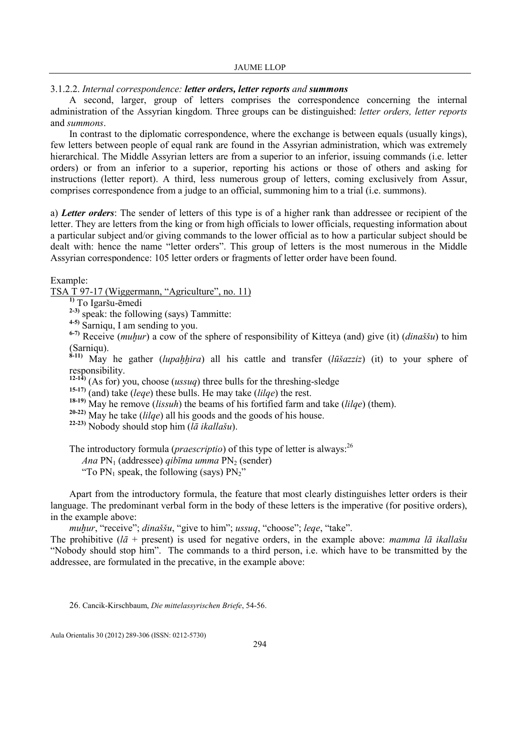3.1.2.2. Internal correspondence: letter orders, letter reports and summons

A second, larger, group of letters comprises the correspondence concerning the internal administration of the Assyrian kingdom. Three groups can be distinguished: letter orders, letter reports and summons.

In contrast to the diplomatic correspondence, where the exchange is between equals (usually kings), few letters between people of equal rank are found in the Assyrian administration, which was extremely hierarchical. The Middle Assyrian letters are from a superior to an inferior, issuing commands (i.e. letter orders) or from an inferior to a superior, reporting his actions or those of others and asking for instructions (letter report). A third, less numerous group of letters, coming exclusively from Assur, comprises correspondence from a judge to an official, summoning him to a trial (i.e. summons).

a) Letter orders: The sender of letters of this type is of a higher rank than addressee or recipient of the letter. They are letters from the king or from high officials to lower officials, requesting information about a particular subject and/or giving commands to the lower official as to how a particular subject should be dealt with: hence the name "letter orders". This group of letters is the most numerous in the Middle Assyrian correspondence: 105 letter orders or fragments of letter order have been found.

Example:

TSA T 97-17 (Wiggermann, "Agriculture", no. 11)

1) To Igaršu-ēmedi

 $2-3$ ) speak: the following (says) Tammitte:

4-5) Sarniqu, I am sending to you.

 $\frac{6-7}{2}$  Receive (*muḫur*) a cow of the sphere of responsibility of Kitteya (and) give (it) (*dinaššu*) to him (Sarniqu).

 $8-11$ ) May he gather (*lupahhira*) all his cattle and transfer (*lūšazziz*) (it) to your sphere of responsibility.

 $12-14$ ) (As for) you, choose (*ussuq*) three bulls for the threshing-sledge

<sup>15-17)</sup> (and) take (leqe) these bulls. He may take (lilqe) the rest.

<sup>18-19)</sup> May he remove (*lissuh*) the beams of his fortified farm and take (*lilqe*) (them).

 $20-22$ ) May he take (*lilqe*) all his goods and the goods of his house.

<sup>22-23)</sup> Nobody should stop him ( $l\bar{a}$  ikallašu).

The introductory formula (*praescriptio*) of this type of letter is always:<sup>26</sup>

Ana  $PN_1$  (addressee) *aibīma umma*  $PN_2$  (sender)

"To  $PN_1$  speak, the following (says)  $PN_2$ "

Apart from the introductory formula, the feature that most clearly distinguishes letter orders is their language. The predominant verbal form in the body of these letters is the imperative (for positive orders), in the example above:

muḥur, "receive"; dinaššu, "give to him"; ussuq, "choose"; leqe, "take".

The prohibitive ( $l\bar{a}$  + present) is used for negative orders, in the example above: mamma  $l\bar{a}$  ikallašu "Nobody should stop him". The commands to a third person, i.e. which have to be transmitted by the addressee, are formulated in the precative, in the example above:

26. Cancik-Kirschbaum, Die mittelassyrischen Briefe, 54-56.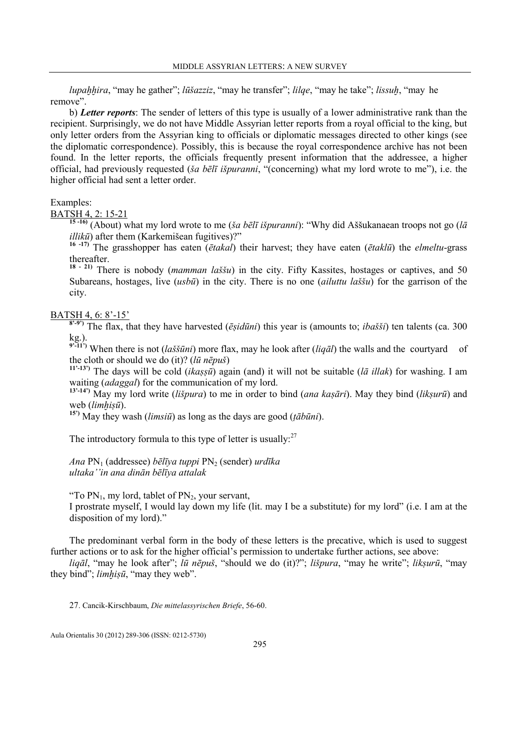lupaḫḫira, "may he gather"; lūšazziz, "may he transfer"; lilqe, "may he take"; lissuḫ, "may he remove".

b) Letter reports: The sender of letters of this type is usually of a lower administrative rank than the recipient. Surprisingly, we do not have Middle Assyrian letter reports from a royal official to the king, but only letter orders from the Assyrian king to officials or diplomatic messages directed to other kings (see the diplomatic correspondence). Possibly, this is because the royal correspondence archive has not been found. In the letter reports, the officials frequently present information that the addressee, a higher official, had previously requested (ša bēlī išpuranni, "(concerning) what my lord wrote to me"), i.e. the higher official had sent a letter order.

### Examples:

BATSH 4, 2: 15-21

<sup>15-16</sup> (About) what my lord wrote to me (ša bēlī išpuranni): "Why did Aššukanaean troops not go (lā  $illik\bar{u}$ ) after them (Karkemišean fugitives)?"

<sup>16 -17)</sup> The grasshopper has eaten ( $\bar{\epsilon}$ takal) their harvest; they have eaten ( $\bar{\epsilon}$ taklū) the *elmeltu*-grass thereafter.

<sup>18 - 21</sup>) There is nobody (*mamman laššu*) in the city. Fifty Kassites, hostages or captives, and 50 Subareans, hostages, live (usbū) in the city. There is no one *(ailuttu laššu)* for the garrison of the city.

# BATSH 4, 6: 8'-15'

 $8^{(8-9)}$ ) The flax, that they have harvested (*ēṣidūni*) this year is (amounts to; *ibašši*) ten talents (ca. 300 kg.).

<sup>9'-11'</sup>) When there is not (*laššūni*) more flax, may he look after (*liqūl*) the walls and the courtyard of the cloth or should we do (it)? ( $l\bar{u}$  nēpuš)

<sup>11'-13'</sup>) The days will be cold *(ikaṣṣū*) again (and) it will not be suitable *(lā illak)* for washing. I am waiting (adaggal) for the communication of my lord.

 $13^{13}$ -14') May my lord write (lišpura) to me in order to bind (ana kaṣāri). May they bind (likṣurū) and web (limhisū).

<sup>15')</sup> May they wash (*limsiū*) as long as the days are good ( $t\bar{a}b\bar{u}ni$ ).

The introductory formula to this type of letter is usually: $27$ 

Ana  $PN_1$  (addressee) bēlīya tuppi  $PN_2$  (sender) urdīka ultaka''in ana dinān bēlīya attalak

"To  $PN_1$ , my lord, tablet of  $PN_2$ , your servant,

I prostrate myself, I would lay down my life (lit. may I be a substitute) for my lord" (i.e. I am at the disposition of my lord)."

The predominant verbal form in the body of these letters is the precative, which is used to suggest further actions or to ask for the higher official's permission to undertake further actions, see above:

liqāl, "may he look after"; lū nēpuš, "should we do (it)?"; lišpura, "may he write"; liksurū, "may they bind"; *limhisū*, "may they web".

27. Cancik-Kirschbaum, Die mittelassyrischen Briefe, 56-60.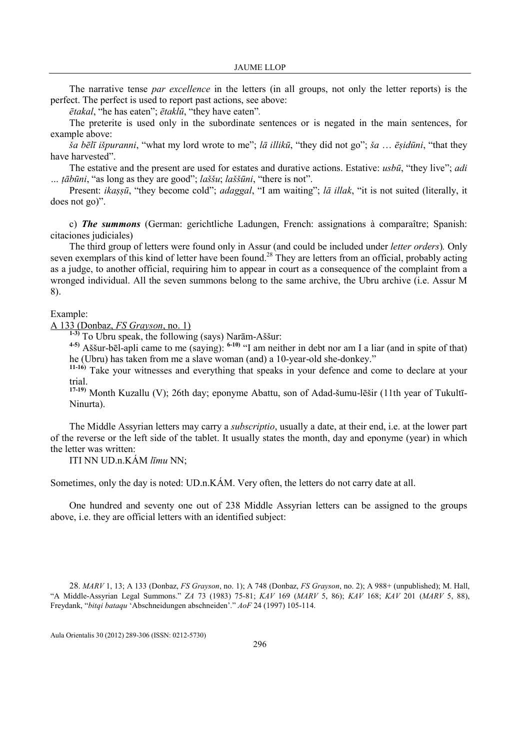The narrative tense par excellence in the letters (in all groups, not only the letter reports) is the perfect. The perfect is used to report past actions, see above:

ētakal, "he has eaten"; ētaklū, "they have eaten".

The preterite is used only in the subordinate sentences or is negated in the main sentences, for example above:

 $\bar{g}a \bar{b}e\bar{d}i$  išpuranni, "what my lord wrote to me"; *lā illikū*, "they did not go"; *ša ... ēsidūni*, "that they have harvested".

The estative and the present are used for estates and durative actions. Estative: usbū, "they live"; adi  $\ldots$  *tābūni*, "as long as they are good"; *laššu*; *laššūni*, "there is not".

Present: ikașșū, "they become cold"; adaggal, "I am waiting"; lā illak, "it is not suited (literally, it does not go)".

c) The summons (German: gerichtliche Ladungen, French: assignations à comparaître; Spanish: citaciones judiciales)

The third group of letters were found only in Assur (and could be included under letter orders). Only seven exemplars of this kind of letter have been found.<sup>28</sup> They are letters from an official, probably acting as a judge, to another official, requiring him to appear in court as a consequence of the complaint from a wronged individual. All the seven summons belong to the same archive, the Ubru archive (i.e. Assur M 8).

### Example:

A 133 (Donbaz, FS Grayson, no. 1)

1-3) To Ubru speak, the following (says) Narām-Aššur:

 $^{4-5}$ ) Aššur-bēl-apli came to me (saying):  $^{6-10}$  "I am neither in debt nor am I a liar (and in spite of that) he (Ubru) has taken from me a slave woman (and) a 10-year-old she-donkey."

<sup>11-16</sup>) Take your witnesses and everything that speaks in your defence and come to declare at your trial.

<sup>17-19</sup>) Month Kuzallu (V); 26th day; eponyme Abattu, son of Adad-šumu-lēšir (11th year of Tukultī-Ninurta).

The Middle Assyrian letters may carry a subscriptio, usually a date, at their end, i.e. at the lower part of the reverse or the left side of the tablet. It usually states the month, day and eponyme (year) in which the letter was written:

ITI NN UD.n.KÁM līmu NN;

Sometimes, only the day is noted: UD.n.KÁM. Very often, the letters do not carry date at all.

One hundred and seventy one out of 238 Middle Assyrian letters can be assigned to the groups above, i.e. they are official letters with an identified subject:

28. MARV 1, 13; A 133 (Donbaz, FS Grayson, no. 1); A 748 (Donbaz, FS Grayson, no. 2); A 988+ (unpublished); M. Hall, "A Middle-Assyrian Legal Summons." ZA 73 (1983) 75-81; KAV 169 (MARV 5, 86); KAV 168; KAV 201 (MARV 5, 88), Freydank, "bitqi bataqu 'Abschneidungen abschneiden'." AoF 24 (1997) 105-114.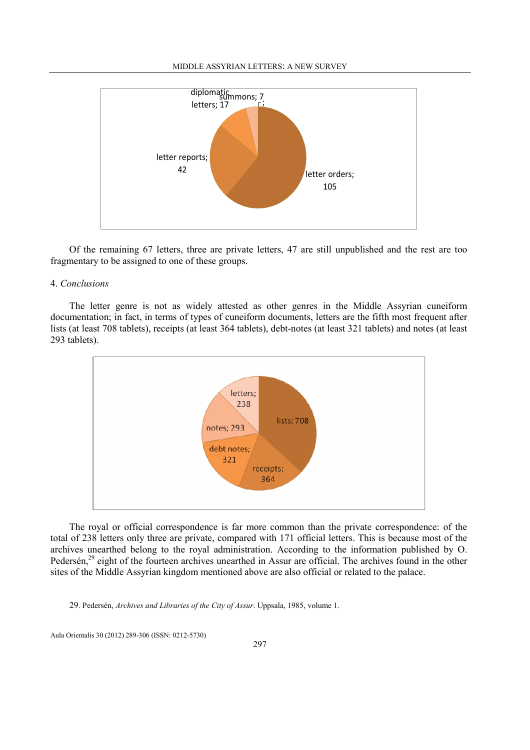#### MIDDLE ASSYRIAN LETTERS: A NEW SURVEY



Of the remaining 67 letters, three are private letters, 47 are still unpublished and the rest are too fragmentary to be assigned to one of these groups.

### 4. Conclusions

The letter genre is not as widely attested as other genres in the Middle Assyrian cuneiform documentation; in fact, in terms of types of cuneiform documents, letters are the fifth most frequent after lists (at least 708 tablets), receipts (at least 364 tablets), debt-notes (at least 321 tablets) and notes (at least 293 tablets).



The royal or official correspondence is far more common than the private correspondence: of the total of 238 letters only three are private, compared with 171 official letters. This is because most of the archives unearthed belong to the royal administration. According to the information published by O. Pedersén,<sup>29</sup> eight of the fourteen archives unearthed in Assur are official. The archives found in the other sites of the Middle Assyrian kingdom mentioned above are also official or related to the palace.

29. Pedersén, Archives and Libraries of the City of Assur. Uppsala, 1985, volume 1.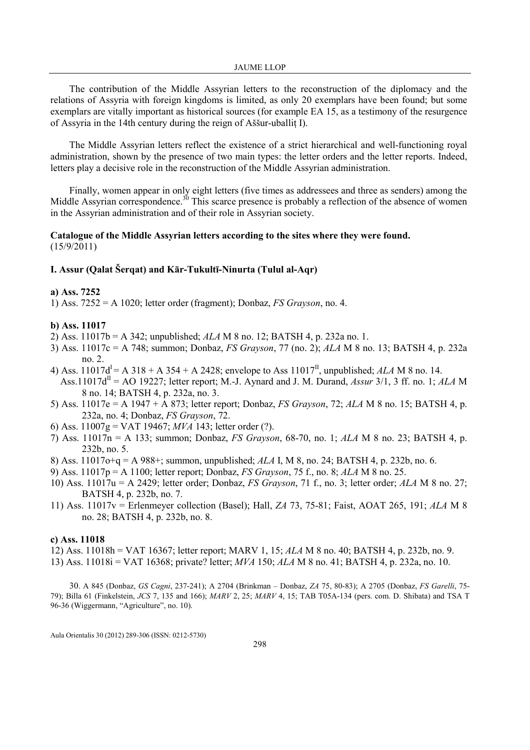The contribution of the Middle Assyrian letters to the reconstruction of the diplomacy and the relations of Assyria with foreign kingdoms is limited, as only 20 exemplars have been found; but some exemplars are vitally important as historical sources (for example EA 15, as a testimony of the resurgence of Assyria in the 14th century during the reign of Aššur-uballiṭ I).

The Middle Assyrian letters reflect the existence of a strict hierarchical and well-functioning royal administration, shown by the presence of two main types: the letter orders and the letter reports. Indeed, letters play a decisive role in the reconstruction of the Middle Assyrian administration.

Finally, women appear in only eight letters (five times as addressees and three as senders) among the Middle Assyrian correspondence.<sup>30</sup> This scarce presence is probably a reflection of the absence of women in the Assyrian administration and of their role in Assyrian society.

### Catalogue of the Middle Assyrian letters according to the sites where they were found. (15/9/2011)

### I. Assur (Qalat Šerqat) and Kār-Tukultī-2inurta (Tulul al-Aqr)

### a) Ass. 7252

1) Ass.  $7252 = A 1020$ ; letter order (fragment); Donbaz, *FS Grayson*, no. 4.

### b) Ass. 11017

- 2) Ass.  $11017b = A 342$ ; unpublished;  $ALA M 8$  no. 12; BATSH 4, p. 232a no. 1.
- 3) Ass.  $11017c = A$  748; summon; Donbaz, *FS Grayson*, 77 (no. 2); *ALA* M 8 no. 13; BATSH 4, p. 232a no. 2.
- 4) Ass.  $11017d^{I} = A 318 + A 354 + A 2428$ ; envelope to Ass  $11017^{II}$ , unpublished; ALA M 8 no. 14. Ass.11017d<sup>II</sup> = AO 19227; letter report; M.-J. Aynard and J. M. Durand, Assur 3/1, 3 ff. no. 1; ALA M 8 no. 14; BATSH 4, p. 232a, no. 3.
- 5) Ass. 11017e = A 1947 + A 873; letter report; Donbaz, FS Grayson, 72; ALA M 8 no. 15; BATSH 4, p. 232a, no. 4; Donbaz, FS Grayson, 72.
- 6) Ass. 11007g = VAT 19467; MVA 143; letter order (?).
- 7) Ass. 11017n = A 133; summon; Donbaz, FS Grayson, 68-70, no. 1; ALA M 8 no. 23; BATSH 4, p. 232b, no. 5.
- 8) Ass. 11017o+q = A 988+; summon, unpublished; ALA I, M 8, no. 24; BATSH 4, p. 232b, no. 6.
- 9) Ass. 11017p = A 1100; letter report; Donbaz, FS Grayson, 75 f., no. 8; ALA M 8 no. 25.
- 10) Ass. 11017u = A 2429; letter order; Donbaz, FS Grayson, 71 f., no. 3; letter order; ALA M 8 no. 27; BATSH 4, p. 232b, no. 7.
- 11) Ass. 11017v = Erlenmeyer collection (Basel); Hall, ZA 73, 75-81; Faist, AOAT 265, 191; ALA M 8 no. 28; BATSH 4, p. 232b, no. 8.

### c) Ass. 11018

- 12) Ass. 11018h = VAT 16367; letter report; MARV 1, 15; ALA M 8 no. 40; BATSH 4, p. 232b, no. 9.
- 13) Ass. 11018i = VAT 16368; private? letter; MVA 150; ALA M 8 no. 41; BATSH 4, p. 232a, no. 10.

30. A 845 (Donbaz, GS Cagni, 237-241); A 2704 (Brinkman – Donbaz, ZA 75, 80-83); A 2705 (Donbaz, FS Garelli, 75- 79); Billa 61 (Finkelstein, JCS 7, 135 and 166); MARV 2, 25; MARV 4, 15; TAB T05A-134 (pers. com. D. Shibata) and TSA T 96-36 (Wiggermann, "Agriculture", no. 10).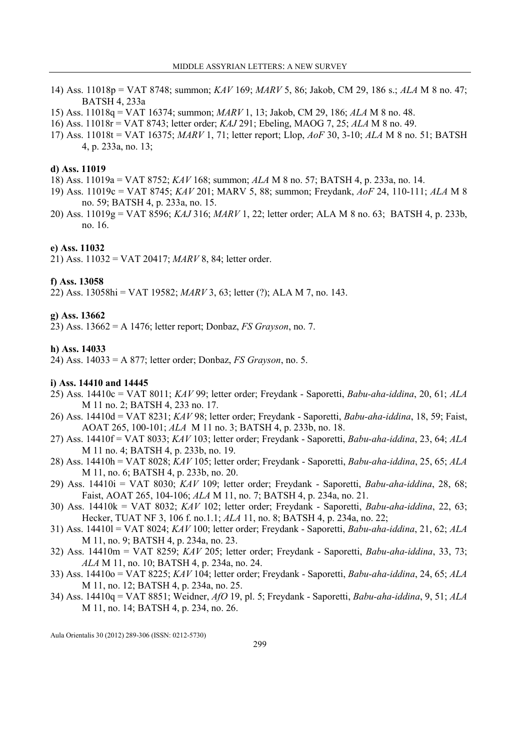- 14) Ass. 11018p = VAT 8748; summon; KAV 169; MARV 5, 86; Jakob, CM 29, 186 s.; ALA M 8 no. 47; BATSH 4, 233a
- 15) Ass. 11018q = VAT 16374; summon; MARV 1, 13; Jakob, CM 29, 186; ALA M 8 no. 48.
- 16) Ass. 11018r = VAT 8743; letter order; KAJ 291; Ebeling, MAOG 7, 25; ALA M 8 no. 49.
- 17) Ass. 11018t = VAT 16375;  $MARV$  1, 71; letter report; Llop,  $AoF$  30, 3-10;  $ALA$  M 8 no. 51; BATSH 4, p. 233a, no. 13;

#### d) Ass. 11019

- 18) Ass. 11019a = VAT 8752; KAV 168; summon; ALA M 8 no. 57; BATSH 4, p. 233a, no. 14.
- 19) Ass. 11019c = VAT 8745; KAV 201; MARV 5, 88; summon; Freydank, AoF 24, 110-111; ALA M 8 no. 59; BATSH 4, p. 233a, no. 15.
- 20) Ass. 11019g = VAT 8596; KAJ 316; MARV 1, 22; letter order; ALA M 8 no. 63; BATSH 4, p. 233b, no. 16.

### e) Ass. 11032

21) Ass. 11032 = VAT 20417; MARV 8, 84; letter order.

### f) Ass. 13058

22) Ass. 13058hi = VAT 19582; MARV 3, 63; letter (?); ALA M 7, no. 143.

### g) Ass. 13662

23) Ass.  $13662 = A 1476$ ; letter report; Donbaz, *FS Grayson*, no. 7.

#### h) Ass. 14033

24) Ass.  $14033 = A 877$ ; letter order; Donbaz, *FS Grayson*, no. 5.

#### i) Ass. 14410 and 14445

- 25) Ass. 14410c = VAT 8011; KAV 99; letter order; Freydank Saporetti, Babu-aha-iddina, 20, 61; ALA M 11 no. 2; BATSH 4, 233 no. 17.
- 26) Ass. 14410d = VAT 8231; KAV 98; letter order; Freydank Saporetti, Babu-aha-iddina, 18, 59; Faist, AOAT 265, 100-101; ALA M 11 no. 3; BATSH 4, p. 233b, no. 18.
- 27) Ass. 14410f = VAT 8033; KAV 103; letter order; Freydank Saporetti, Babu-aha-iddina, 23, 64; ALA M 11 no. 4; BATSH 4, p. 233b, no. 19.
- 28) Ass. 14410h = VAT 8028; KAV 105; letter order; Freydank Saporetti, Babu-aha-iddina, 25, 65; ALA M 11, no. 6; BATSH 4, p. 233b, no. 20.
- 29) Ass.  $14410i = \text{VAT } 8030$ ;  $KAV 109$ ; letter order; Freydank Saporetti, *Babu-aha-iddina*, 28, 68; Faist, AOAT 265, 104-106; ALA M 11, no. 7; BATSH 4, p. 234a, no. 21.
- 30) Ass.  $14410k = VAT 8032$ ;  $KAV 102$ ; letter order; Freydank Saporetti, *Babu-aha-iddina*, 22, 63; Hecker, TUAT NF 3, 106 f. no.1.1; ALA 11, no. 8; BATSH 4, p. 234a, no. 22;
- 31) Ass. 14410l = VAT 8024;  $KAV$  100; letter order; Freydank Saporetti, *Babu-aha-iddina*, 21, 62; ALA M 11, no. 9; BATSH 4, p. 234a, no. 23.
- 32) Ass.  $14410m = VAT 8259$ ;  $KAV 205$ ; letter order; Freydank Saporetti, *Babu-aha-iddina*, 33, 73; ALA M 11, no. 10; BATSH 4, p. 234a, no. 24.
- 33) Ass. 14410o = VAT 8225; KAV 104; letter order; Freydank Saporetti, Babu-aha-iddina, 24, 65; ALA M 11, no. 12; BATSH 4, p. 234a, no. 25.
- 34) Ass. 14410q = VAT 8851; Weidner, AfO 19, pl. 5; Freydank Saporetti, Babu-aha-iddina, 9, 51; ALA M 11, no. 14; BATSH 4, p. 234, no. 26.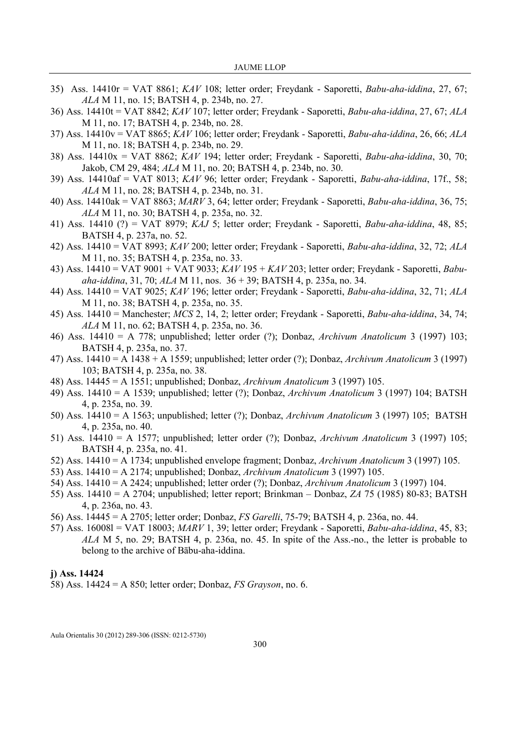- 35) Ass. 14410r = VAT 8861; KAV 108; letter order; Freydank Saporetti, Babu-aha-iddina, 27, 67; ALA M 11, no. 15; BATSH 4, p. 234b, no. 27.
- 36) Ass. 14410t = VAT 8842; KAV 107; letter order; Freydank Saporetti, Babu-aha-iddina, 27, 67; ALA M 11, no. 17; BATSH 4, p. 234b, no. 28.
- 37) Ass. 14410v = VAT 8865;  $KAV$  106; letter order; Freydank Saporetti, Babu-aha-iddina, 26, 66; ALA M 11, no. 18; BATSH 4, p. 234b, no. 29.
- 38) Ass. 14410 $x = \text{VAT } 8862$ ;  $KAV$  194; letter order; Freydank Saporetti, *Babu-aha-iddina*, 30, 70; Jakob, CM 29, 484; ALA M 11, no. 20; BATSH 4, p. 234b, no. 30.
- 39) Ass. 14410af = VAT 8013; KAV 96; letter order; Freydank Saporetti, Babu-aha-iddina, 17f., 58; ALA M 11, no. 28; BATSH 4, p. 234b, no. 31.
- 40) Ass. 14410ak = VAT 8863; MAR $\hat{V}$ 3, 64; letter order; Freydank Saporetti, *Babu-aha-iddina*, 36, 75; ALA M 11, no. 30; BATSH 4, p. 235a, no. 32.
- 41) Ass. 14410 (?) = VAT 8979; KAJ 5; letter order; Freydank Saporetti, Babu-aha-iddina, 48, 85; BATSH 4, p. 237a, no. 52.
- 42) Ass. 14410 = VAT 8993; KAV 200; letter order; Freydank Saporetti, Babu-aha-iddina, 32, 72; ALA M 11, no. 35; BATSH 4, p. 235a, no. 33.
- 43) Ass. 14410 = VAT 9001 + VAT 9033; KAV 195 + KAV 203; letter order; Freydank Saporetti, Babuaha-iddina, 31, 70; ALA M 11, nos. 36 + 39; BATSH 4, p. 235a, no. 34.
- 44) Ass. 14410 = VAT 9025; KAV 196; letter order; Freydank Saporetti, Babu-aha-iddina, 32, 71; ALA M 11, no. 38; BATSH 4, p. 235a, no. 35.
- 45) Ass. 14410 = Manchester; MCS 2, 14, 2; letter order; Freydank Saporetti, Babu-aha-iddina, 34, 74; ALA M 11, no. 62; BATSH 4, p. 235a, no. 36.
- 46) Ass. 14410 = A 778; unpublished; letter order (?); Donbaz, Archivum Anatolicum 3 (1997) 103; BATSH 4, p. 235a, no. 37.
- 47) Ass. 14410 = A 1438 + A 1559; unpublished; letter order (?); Donbaz, Archivum Anatolicum 3 (1997) 103; BATSH 4, p. 235a, no. 38.
- 48) Ass. 14445 = A 1551; unpublished; Donbaz, Archivum Anatolicum 3 (1997) 105.
- 49) Ass. 14410 = A 1539; unpublished; letter (?); Donbaz, Archivum Anatolicum 3 (1997) 104; BATSH 4, p. 235a, no. 39.
- 50) Ass. 14410 = A 1563; unpublished; letter (?); Donbaz, Archivum Anatolicum 3 (1997) 105; BATSH 4, p. 235a, no. 40.
- 51) Ass. 14410 = A 1577; unpublished; letter order (?); Donbaz, Archivum Anatolicum 3 (1997) 105; BATSH 4, p. 235a, no. 41.
- 52) Ass. 14410 = A 1734; unpublished envelope fragment; Donbaz, Archivum Anatolicum 3 (1997) 105.
- 53) Ass. 14410 = A 2174; unpublished; Donbaz, Archivum Anatolicum 3 (1997) 105.
- 54) Ass. 14410 = A 2424; unpublished; letter order (?); Donbaz, Archivum Anatolicum 3 (1997) 104.
- 55) Ass. 14410 = A 2704; unpublished; letter report; Brinkman Donbaz, ZA 75 (1985) 80-83; BATSH 4, p. 236a, no. 43.
- 56) Ass. 14445 = A 2705; letter order; Donbaz, FS Garelli, 75-79; BATSH 4, p. 236a, no. 44.
- 57) Ass. 16008l = VAT 18003; MARV 1, 39; letter order; Freydank Saporetti, Babu-aha-iddina, 45, 83; ALA M 5, no. 29; BATSH 4, p. 236a, no. 45. In spite of the Ass.-no., the letter is probable to belong to the archive of Bābu-aha-iddina.

#### j) Ass. 14424

58) Ass. 14424 = A 850; letter order; Donbaz, FS Grayson, no. 6.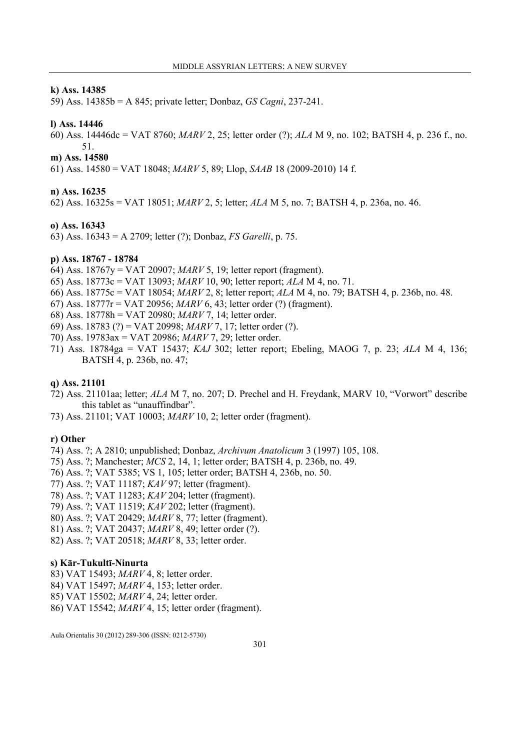#### k) Ass. 14385

59) Ass. 14385b = A 845; private letter; Donbaz, GS Cagni, 237-241.

#### l) Ass. 14446

60) Ass. 14446dc = VAT 8760; MARV 2, 25; letter order (?); ALA M 9, no. 102; BATSH 4, p. 236 f., no. 51.

### m) Ass. 14580

61) Ass. 14580 = VAT 18048; MARV 5, 89; Llop, SAAB 18 (2009-2010) 14 f.

### n) Ass. 16235

62) Ass. 16325s = VAT 18051; MARV 2, 5; letter; ALA M 5, no. 7; BATSH 4, p. 236a, no. 46.

#### o) Ass. 16343

63) Ass. 16343 = A 2709; letter (?); Donbaz, FS Garelli, p. 75.

#### p) Ass. 18767 - 18784

- 64) Ass. 18767y = VAT 20907; MARV 5, 19; letter report (fragment).
- 65) Ass. 18773c = VAT 13093; MARV 10, 90; letter report; ALA M 4, no. 71.
- 66) Ass. 18775c = VAT 18054; MARV 2, 8; letter report; ALA M 4, no. 79; BATSH 4, p. 236b, no. 48.
- 67) Ass. 18777r = VAT 20956; MARV 6, 43; letter order (?) (fragment).
- 68) Ass. 18778h = VAT 20980; MARV 7, 14; letter order.
- 69) Ass. 18783 (?) = VAT 20998; MARV 7, 17; letter order (?).
- 70) Ass. 19783ax = VAT 20986; MARV 7, 29; letter order.
- 71) Ass. 18784ga = VAT 15437; KAJ 302; letter report; Ebeling, MAOG 7, p. 23; ALA M 4, 136; BATSH 4, p. 236b, no. 47;

#### q) Ass. 21101

- 72) Ass. 21101aa; letter; ALA M 7, no. 207; D. Prechel and H. Freydank, MARV 10, "Vorwort" describe this tablet as "unauffindbar".
- 73) Ass. 21101; VAT 10003; MARV 10, 2; letter order (fragment).

#### r) Other

- 74) Ass. ?; A 2810; unpublished; Donbaz, Archivum Anatolicum 3 (1997) 105, 108.
- 75) Ass. ?; Manchester; MCS 2, 14, 1; letter order; BATSH 4, p. 236b, no. 49.
- 76) Ass. ?; VAT 5385; VS 1, 105; letter order; BATSH 4, 236b, no. 50.
- 77) Ass. ?; VAT 11187; KAV 97; letter (fragment).
- 78) Ass. ?; VAT 11283; KAV 204; letter (fragment).
- 79) Ass. ?; VAT 11519; KAV 202; letter (fragment).
- 80) Ass. ?; VAT 20429; MARV 8, 77; letter (fragment).
- 81) Ass. ?; VAT 20437; MARV 8, 49; letter order (?).
- 82) Ass. ?; VAT 20518; MARV 8, 33; letter order.

### s) Kār-Tukultī-Ninurta

- 83) VAT 15493; MARV 4, 8; letter order.
- 84) VAT 15497; MARV 4, 153; letter order.
- 85) VAT 15502; MARV 4, 24; letter order.
- 86) VAT 15542; MARV 4, 15; letter order (fragment).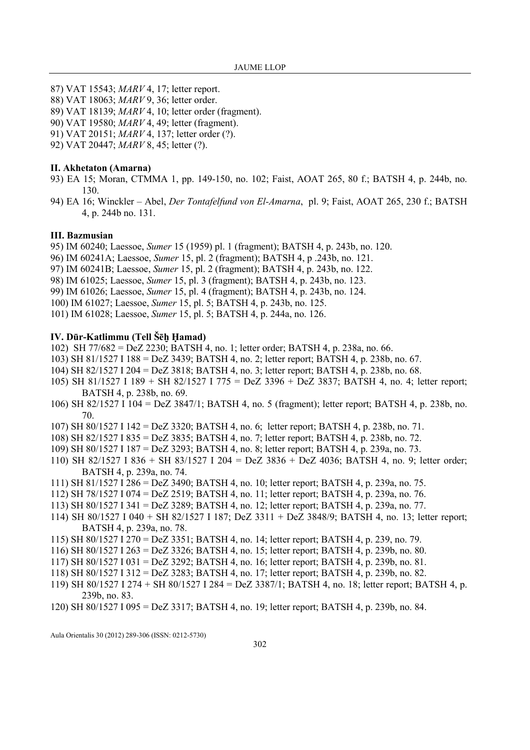- 87) VAT 15543; MARV 4, 17; letter report.
- 88) VAT 18063; MARV 9, 36; letter order.
- 89) VAT 18139; MARV 4, 10; letter order (fragment).
- 90) VAT 19580; MARV 4, 49; letter (fragment).
- 91) VAT 20151; MARV 4, 137; letter order (?).
- 92) VAT 20447; MARV 8, 45; letter (?).

### II. Akhetaton (Amarna)

- 93) EA 15; Moran, CTMMA 1, pp. 149-150, no. 102; Faist, AOAT 265, 80 f.; BATSH 4, p. 244b, no. 130.
- 94) EA 16; Winckler Abel, Der Tontafelfund von El-Amarna, pl. 9; Faist, AOAT 265, 230 f.; BATSH 4, p. 244b no. 131.

### III. Bazmusian

95) IM 60240; Laessoe, Sumer 15 (1959) pl. 1 (fragment); BATSH 4, p. 243b, no. 120.

- 96) IM 60241A; Laessoe, Sumer 15, pl. 2 (fragment); BATSH 4, p .243b, no. 121.
- 97) IM 60241B; Laessoe, Sumer 15, pl. 2 (fragment); BATSH 4, p. 243b, no. 122.
- 98) IM 61025; Laessoe, Sumer 15, pl. 3 (fragment); BATSH 4, p. 243b, no. 123.
- 99) IM 61026; Laessoe, Sumer 15, pl. 4 (fragment); BATSH 4, p. 243b, no. 124.
- 100) IM 61027; Laessoe, Sumer 15, pl. 5; BATSH 4, p. 243b, no. 125.
- 101) IM 61028; Laessoe, Sumer 15, pl. 5; BATSH 4, p. 244a, no. 126.

### IV. Dūr-Katlimmu (Tell Šēḫ Ḥamad)

102) SH 77/682 = DeZ 2230; BATSH 4, no. 1; letter order; BATSH 4, p. 238a, no. 66.

- 103) SH 81/1527 I 188 = DeZ 3439; BATSH 4, no. 2; letter report; BATSH 4, p. 238b, no. 67.
- 104) SH 82/1527 I 204 = DeZ 3818; BATSH 4, no. 3; letter report; BATSH 4, p. 238b, no. 68.
- 105) SH 81/1527 I 189 + SH 82/1527 I 775 = DeZ 3396 + DeZ 3837; BATSH 4, no. 4; letter report; BATSH 4, p. 238b, no. 69.
- 106) SH 82/1527 I 104 = DeZ 3847/1; BATSH 4, no. 5 (fragment); letter report; BATSH 4, p. 238b, no. 70.
- 107) SH 80/1527 I 142 = DeZ 3320; BATSH 4, no. 6; letter report; BATSH 4, p. 238b, no. 71.
- 108) SH 82/1527 I 835 = DeZ 3835; BATSH 4, no. 7; letter report; BATSH 4, p. 238b, no. 72.
- 109) SH 80/1527 I 187 = DeZ 3293; BATSH 4, no. 8; letter report; BATSH 4, p. 239a, no. 73.
- 110) SH 82/1527 I 836 + SH 83/1527 I 204 = DeZ 3836 + DeZ 4036; BATSH 4, no. 9; letter order; BATSH 4, p. 239a, no. 74.
- 111) SH 81/1527 I 286 = DeZ 3490; BATSH 4, no. 10; letter report; BATSH 4, p. 239a, no. 75.
- 112) SH 78/1527 I 074 = DeZ 2519; BATSH 4, no. 11; letter report; BATSH 4, p. 239a, no. 76.
- 113) SH 80/1527 I 341 = DeZ 3289; BATSH 4, no. 12; letter report; BATSH 4, p. 239a, no. 77.
- 114) SH 80/1527 I 040 + SH 82/1527 I 187; DeZ 3311 + DeZ 3848/9; BATSH 4, no. 13; letter report; BATSH 4, p. 239a, no. 78.
- 115) SH 80/1527 I 270 = DeZ 3351; BATSH 4, no. 14; letter report; BATSH 4, p. 239, no. 79.
- 116) SH 80/1527 I 263 = DeZ 3326; BATSH 4, no. 15; letter report; BATSH 4, p. 239b, no. 80.
- 117) SH 80/1527 I 031 = DeZ 3292; BATSH 4, no. 16; letter report; BATSH 4, p. 239b, no. 81.
- 118) SH 80/1527 I 312 = DeZ 3283; BATSH 4, no. 17; letter report; BATSH 4, p. 239b, no. 82.
- 119) SH 80/1527 I 274 + SH 80/1527 I 284 = DeZ 3387/1; BATSH 4, no. 18; letter report; BATSH 4, p. 239b, no. 83.
- 120) SH 80/1527 I 095 = DeZ 3317; BATSH 4, no. 19; letter report; BATSH 4, p. 239b, no. 84.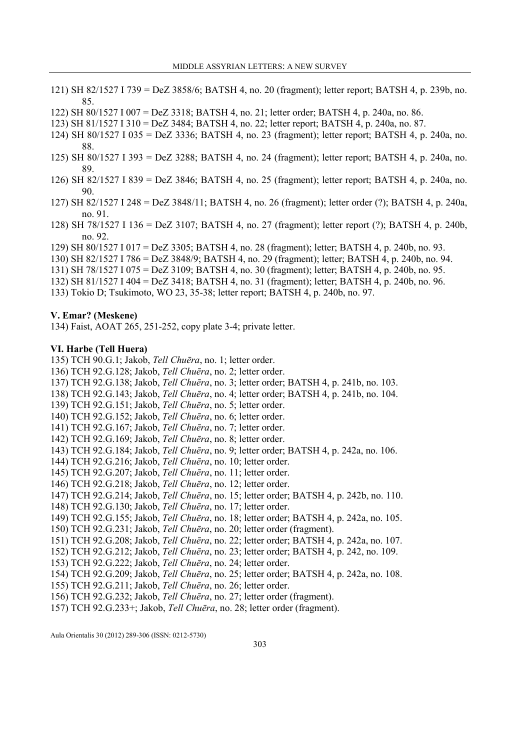- 121) SH 82/1527 I 739 = DeZ 3858/6; BATSH 4, no. 20 (fragment); letter report; BATSH 4, p. 239b, no. 85.
- 122) SH 80/1527 I 007 = DeZ 3318; BATSH 4, no. 21; letter order; BATSH 4, p. 240a, no. 86.
- 123) SH 81/1527 I 310 = DeZ 3484; BATSH 4, no. 22; letter report; BATSH 4, p. 240a, no. 87.
- 124) SH 80/1527 I 035 = DeZ 3336; BATSH 4, no. 23 (fragment); letter report; BATSH 4, p. 240a, no. 88.
- 125) SH 80/1527 I 393 = DeZ 3288; BATSH 4, no. 24 (fragment); letter report; BATSH 4, p. 240a, no. 89.
- 126) SH 82/1527 I 839 = DeZ 3846; BATSH 4, no. 25 (fragment); letter report; BATSH 4, p. 240a, no. 90.
- 127) SH 82/1527 I 248 = DeZ 3848/11; BATSH 4, no. 26 (fragment); letter order (?); BATSH 4, p. 240a, no. 91.
- 128) SH 78/1527 I 136 = DeZ 3107; BATSH 4, no. 27 (fragment); letter report (?); BATSH 4, p. 240b, no. 92.
- 129) SH 80/1527 I 017 = DeZ 3305; BATSH 4, no. 28 (fragment); letter; BATSH 4, p. 240b, no. 93.
- 130) SH 82/1527 I 786 = DeZ 3848/9; BATSH 4, no. 29 (fragment); letter; BATSH 4, p. 240b, no. 94.
- 131) SH 78/1527 I 075 = DeZ 3109; BATSH 4, no. 30 (fragment); letter; BATSH 4, p. 240b, no. 95.
- 132) SH 81/1527 I 404 = DeZ 3418; BATSH 4, no. 31 (fragment); letter; BATSH 4, p. 240b, no. 96.
- 133) Tokio D; Tsukimoto, WO 23, 35-38; letter report; BATSH 4, p. 240b, no. 97.

### V. Emar? (Meskene)

134) Faist, AOAT 265, 251-252, copy plate 3-4; private letter.

### VI. Harbe (Tell Huera)

135) TCH 90.G.1; Jakob, Tell Chuēra, no. 1; letter order. 136) TCH 92.G.128; Jakob, Tell Chuēra, no. 2; letter order. 137) TCH 92.G.138; Jakob, Tell Chuēra, no. 3; letter order; BATSH 4, p. 241b, no. 103. 138) TCH 92.G.143; Jakob, Tell Chuēra, no. 4; letter order; BATSH 4, p. 241b, no. 104. 139) TCH 92.G.151; Jakob, Tell Chuēra, no. 5; letter order. 140) TCH 92.G.152; Jakob, Tell Chuēra, no. 6; letter order. 141) TCH 92.G.167; Jakob, Tell Chuēra, no. 7; letter order. 142) TCH 92.G.169; Jakob, Tell Chuēra, no. 8; letter order. 143) TCH 92.G.184; Jakob, Tell Chuēra, no. 9; letter order; BATSH 4, p. 242a, no. 106. 144) TCH 92.G.216; Jakob, Tell Chuēra, no. 10; letter order. 145) TCH 92.G.207; Jakob, Tell Chuēra, no. 11; letter order. 146) TCH 92.G.218; Jakob, Tell Chuēra, no. 12; letter order. 147) TCH 92.G.214; Jakob, Tell Chuēra, no. 15; letter order; BATSH 4, p. 242b, no. 110. 148) TCH 92.G.130; Jakob, Tell Chuēra, no. 17; letter order. 149) TCH 92.G.155; Jakob, Tell Chuēra, no. 18; letter order; BATSH 4, p. 242a, no. 105. 150) TCH 92.G.231; Jakob, Tell Chuēra, no. 20; letter order (fragment). 151) TCH 92.G.208; Jakob, Tell Chuēra, no. 22; letter order; BATSH 4, p. 242a, no. 107. 152) TCH 92.G.212; Jakob, Tell Chuēra, no. 23; letter order; BATSH 4, p. 242, no. 109. 153) TCH 92.G.222; Jakob, Tell Chuēra, no. 24; letter order. 154) TCH 92.G.209; Jakob, Tell Chuēra, no. 25; letter order; BATSH 4, p. 242a, no. 108. 155) TCH 92.G.211; Jakob, Tell Chuēra, no. 26; letter order. 156) TCH 92.G.232; Jakob, Tell Chuēra, no. 27; letter order (fragment). 157) TCH 92.G.233+; Jakob, Tell Chuēra, no. 28; letter order (fragment).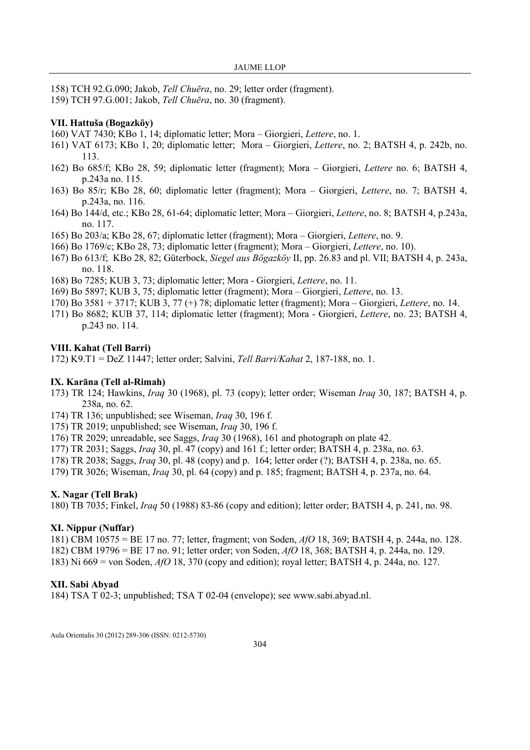- 158) TCH 92.G.090; Jakob, Tell Chuēra, no. 29; letter order (fragment).
- 159) TCH 97.G.001; Jakob, Tell Chuēra, no. 30 (fragment).

### VII. Hattuša (Bogazköy)

- 160) VAT 7430; KBo 1, 14; diplomatic letter; Mora Giorgieri, Lettere, no. 1.
- 161) VAT 6173; KBo 1, 20; diplomatic letter; Mora Giorgieri, Lettere, no. 2; BATSH 4, p. 242b, no. 113.
- 162) Bo 685/f; KBo 28, 59; diplomatic letter (fragment); Mora Giorgieri, Lettere no. 6; BATSH 4, p.243a no. 115.
- 163) Bo 85/r; KBo 28, 60; diplomatic letter (fragment); Mora Giorgieri, Lettere, no. 7; BATSH 4, p.243a, no. 116.
- 164) Bo 144/d, etc.; KBo 28, 61-64; diplomatic letter; Mora Giorgieri, Lettere, no. 8; BATSH 4, p.243a, no. 117.
- 165) Bo 203/a; KBo 28, 67; diplomatic letter (fragment); Mora Giorgieri, Lettere, no. 9.
- 166) Bo 1769/c; KBo 28, 73; diplomatic letter (fragment); Mora Giorgieri, Lettere, no. 10).
- 167) Bo 613/f; KBo 28, 82; Güterbock, Siegel aus Bögazköy II, pp. 26.83 and pl. VII; BATSH 4, p. 243a, no. 118.
- 168) Bo 7285; KUB 3, 73; diplomatic letter; Mora Giorgieri, Lettere, no. 11.
- 169) Bo 5897; KUB 3, 75; diplomatic letter (fragment); Mora Giorgieri, Lettere, no. 13.
- 170) Bo 3581 + 3717; KUB 3, 77 (+) 78; diplomatic letter (fragment); Mora Giorgieri, Lettere, no. 14.
- 171) Bo 8682; KUB 37, 114; diplomatic letter (fragment); Mora Giorgieri, Lettere, no. 23; BATSH 4, p.243 no. 114.

### VIII. Kahat (Tell Barri)

172) K9.T1 = DeZ 11447; letter order; Salvini, Tell Barri/Kahat 2, 187-188, no. 1.

### IX. Karāna (Tell al-Rimah)

- 173) TR 124; Hawkins, Iraq 30 (1968), pl. 73 (copy); letter order; Wiseman Iraq 30, 187; BATSH 4, p. 238a, no. 62.
- 174) TR 136; unpublished; see Wiseman, Iraq 30, 196 f.
- 175) TR 2019; unpublished; see Wiseman, Iraq 30, 196 f.
- 176) TR 2029; unreadable, see Saggs, Iraq 30 (1968), 161 and photograph on plate 42.
- 177) TR 2031; Saggs, Iraq 30, pl. 47 (copy) and 161 f.; letter order; BATSH 4, p. 238a, no. 63.
- 178) TR 2038; Saggs, Iraq 30, pl. 48 (copy) and p. 164; letter order (?); BATSH 4, p. 238a, no. 65.
- 179) TR 3026; Wiseman, Iraq 30, pl. 64 (copy) and p. 185; fragment; BATSH 4, p. 237a, no. 64.

### X. Nagar (Tell Brak)

180) TB 7035; Finkel, Iraq 50 (1988) 83-86 (copy and edition); letter order; BATSH 4, p. 241, no. 98.

### XI. Nippur (Nuffar)

181) CBM 10575 = BE 17 no. 77; letter, fragment; von Soden, AfO 18, 369; BATSH 4, p. 244a, no. 128. 182) CBM 19796 = BE 17 no. 91; letter order; von Soden, AfO 18, 368; BATSH 4, p. 244a, no. 129. 183) Ni 669 = von Soden, AfO 18, 370 (copy and edition); royal letter; BATSH 4, p. 244a, no. 127.

### XII. Sabi Abyad

184) TSA T 02-3; unpublished; TSA T 02-04 (envelope); see www.sabi.abyad.nl.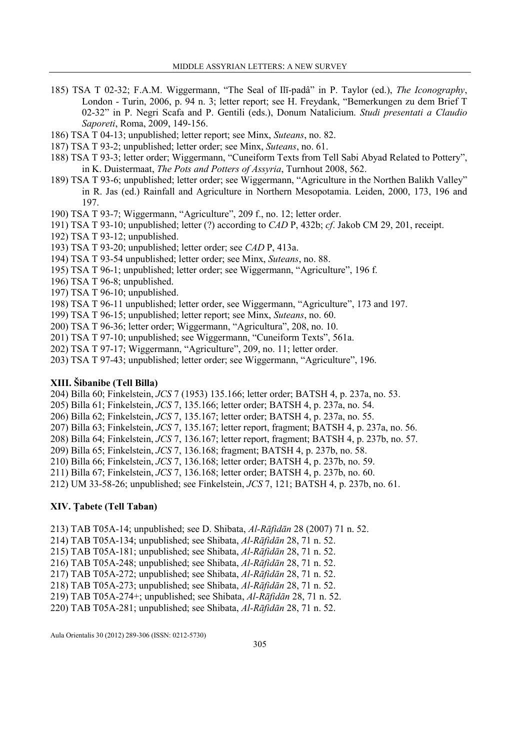- 185) TSA T 02-32; F.A.M. Wiggermann, "The Seal of Ilī-padâ" in P. Taylor (ed.), The Iconography, London - Turin, 2006, p. 94 n. 3; letter report; see H. Freydank, "Bemerkungen zu dem Brief T 02-32" in P. Negri Scafa and P. Gentili (eds.), Donum Natalicium. Studi presentati a Claudio Saporeti, Roma, 2009, 149-156.
- 186) TSA T 04-13; unpublished; letter report; see Minx, Suteans, no. 82.
- 187) TSA T 93-2; unpublished; letter order; see Minx, Suteans, no. 61.
- 188) TSA T 93-3; letter order; Wiggermann, "Cuneiform Texts from Tell Sabi Abyad Related to Pottery", in K. Duistermaat, The Pots and Potters of Assyria, Turnhout 2008, 562.
- 189) TSA T 93-6; unpublished; letter order; see Wiggermann, "Agriculture in the Northen Balikh Valley" in R. Jas (ed.) Rainfall and Agriculture in Northern Mesopotamia. Leiden, 2000, 173, 196 and 197.
- 190) TSA T 93-7; Wiggermann, "Agriculture", 209 f., no. 12; letter order.
- 191) TSA T 93-10; unpublished; letter (?) according to CAD P, 432b; cf. Jakob CM 29, 201, receipt.
- 192) TSA T 93-12; unpublished.
- 193) TSA T 93-20; unpublished; letter order; see CAD P, 413a.
- 194) TSA T 93-54 unpublished; letter order; see Minx, Suteans, no. 88.
- 195) TSA T 96-1; unpublished; letter order; see Wiggermann, "Agriculture", 196 f.
- 196) TSA T 96-8; unpublished.
- 197) TSA T 96-10; unpublished.
- 198) TSA T 96-11 unpublished; letter order, see Wiggermann, "Agriculture", 173 and 197.
- 199) TSA T 96-15; unpublished; letter report; see Minx, Suteans, no. 60.
- 200) TSA T 96-36; letter order; Wiggermann, "Agricultura", 208, no. 10.
- 201) TSA T 97-10; unpublished; see Wiggermann, "Cuneiform Texts", 561a.
- 202) TSA T 97-17; Wiggermann, "Agriculture", 209, no. 11; letter order.
- 203) TSA T 97-43; unpublished; letter order; see Wiggermann, "Agriculture", 196.

### XIII. Šibanibe (Tell Billa)

204) Billa 60; Finkelstein, JCS 7 (1953) 135.166; letter order; BATSH 4, p. 237a, no. 53.

- 205) Billa 61; Finkelstein, JCS 7, 135.166; letter order; BATSH 4, p. 237a, no. 54.
- 206) Billa 62; Finkelstein, JCS 7, 135.167; letter order; BATSH 4, p. 237a, no. 55.
- 207) Billa 63; Finkelstein, JCS 7, 135.167; letter report, fragment; BATSH 4, p. 237a, no. 56.
- 208) Billa 64; Finkelstein, JCS 7, 136.167; letter report, fragment; BATSH 4, p. 237b, no. 57.
- 209) Billa 65; Finkelstein, JCS 7, 136.168; fragment; BATSH 4, p. 237b, no. 58.
- 210) Billa 66; Finkelstein, JCS 7, 136.168; letter order; BATSH 4, p. 237b, no. 59.
- 211) Billa 67; Finkelstein, JCS 7, 136.168; letter order; BATSH 4, p. 237b, no. 60.

212) UM 33-58-26; unpublished; see Finkelstein, JCS 7, 121; BATSH 4, p. 237b, no. 61.

### XIV. Ṭabete (Tell Taban)

- 213) TAB T05A-14; unpublished; see D. Shibata, Al-Rāfidān 28 (2007) 71 n. 52.
- 214) TAB T05A-134; unpublished; see Shibata, Al-Rāfidān 28, 71 n. 52.
- 215) TAB T05A-181; unpublished; see Shibata, Al-Rāfidān 28, 71 n. 52.
- 216) TAB T05A-248; unpublished; see Shibata, Al-Rāfidān 28, 71 n. 52.
- 217) TAB T05A-272; unpublished; see Shibata, Al-Rāfidān 28, 71 n. 52.
- 218) TAB T05A-273; unpublished; see Shibata, Al-Rāfidān 28, 71 n. 52.
- 219) TAB T05A-274+; unpublished; see Shibata, Al-Rāfidān 28, 71 n. 52.
- 220) TAB T05A-281; unpublished; see Shibata, Al-Rāfidān 28, 71 n. 52.